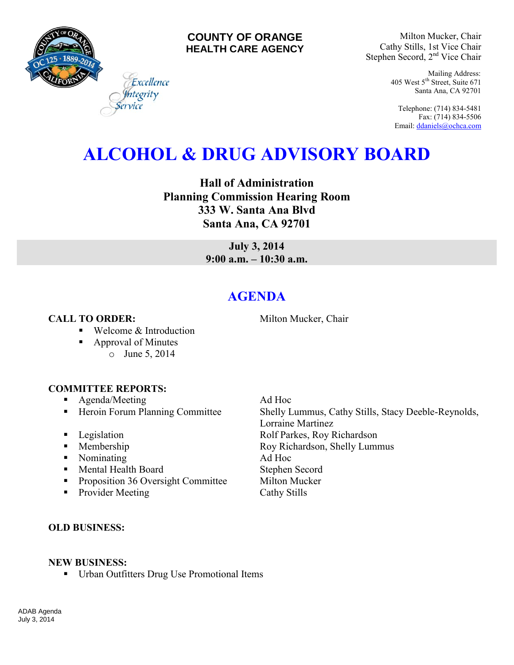

# **COUNTY OF ORANGE HEALTH CARE AGENCY**

Milton Mucker, Chair Cathy Stills, 1st Vice Chair Stephen Secord, 2<sup>nd</sup> Vice Chair

> Mailing Address: 405 West 5th Street, Suite 671 Santa Ana, CA 92701

Telephone: (714) 834-5481 Fax: (714) 834-5506 Email[: ddaniels@ochca.com](mailto:ddaniels@ochca.com)

# **ALCOHOL & DRUG ADVISORY BOARD**

**Hall of Administration Planning Commission Hearing Room 333 W. Santa Ana Blvd Santa Ana, CA 92701** 

> **July 3, 2014 9:00 a.m. – 10:30 a.m.**

# **AGENDA**

# **CALL TO ORDER:** Milton Mucker, Chair

■ Welcome & Introduction

Excellence egrity

- Approval of Minutes
	- o June 5, 2014

#### **COMMITTEE REPORTS:**

- **Agenda/Meeting Ad Hoc**
- 
- 
- 
- Nominating Ad Hoc
- Mental Health Board Stephen Secord
- **Proposition 36 Oversight Committee Milton Mucker**
- Provider Meeting Cathy Stills

■ Heroin Forum Planning Committee Shelly Lummus, Cathy Stills, Stacy Deeble-Reynolds, Lorraine Martinez **Example 3** Legislation **Rolf Parkes, Roy Richardson** • Membership Roy Richardson, Shelly Lummus

### **OLD BUSINESS:**

#### **NEW BUSINESS:**

Urban Outfitters Drug Use Promotional Items